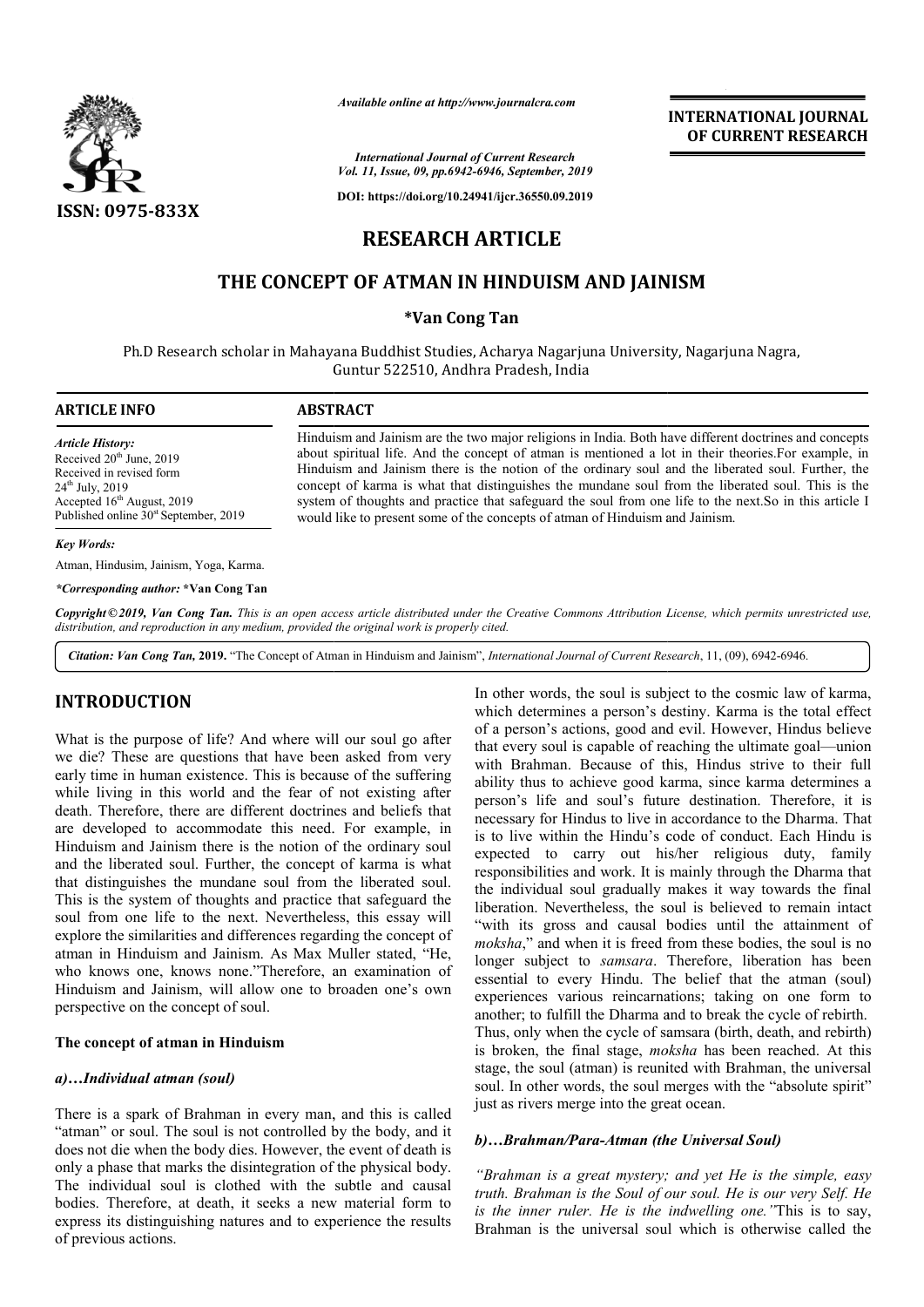

*Available online at http://www.journalcra.com*

**INTERNATIONAL JOURNAL OF CURRENT RESEARCH**

*International Journal of Current Research Vol. 11, Issue, 09, pp.6942-6946, September, 2019*

**DOI: https://doi.org/10.24941/ijcr.36550.09.2019**

# **RESEARCH ARTICLE**

## **THE CONCEPT OF ATMAN IN HINDUISM AND JAINISM**

#### **\*Van Cong Tan**

Ph.D Research scholar in Mahayana Buddhist Studies, Acharya Nagarjuna University, Nagarjuna Nagra, Guntur 522510, Andhra Pradesh Pradesh, India

| <b>ARTICLE INFO</b>                                                                                                                                                                                   | <b>ABSTRACT</b>                                                                                                                                                                                                                                                                                                                                                                                                                                                                                                                                                                                                     |
|-------------------------------------------------------------------------------------------------------------------------------------------------------------------------------------------------------|---------------------------------------------------------------------------------------------------------------------------------------------------------------------------------------------------------------------------------------------------------------------------------------------------------------------------------------------------------------------------------------------------------------------------------------------------------------------------------------------------------------------------------------------------------------------------------------------------------------------|
| <b>Article History:</b><br>Received $20th$ June, 2019<br>Received in revised form<br>$24^{\text{th}}$ July, 2019<br>Accepted $16th$ August, 2019<br>Published online 30 <sup>st</sup> September, 2019 | Hinduism and Jainism are the two major religions in India. Both have different doctrines and concepts<br>about spiritual life. And the concept of atman is mentioned a lot in their theories. For example, in<br>Hinduism and Jainism there is the notion of the ordinary soul and the liberated soul. Further, the<br>concept of karma is what that distinguishes the mundane soul from the liberated soul. This is the<br>system of thoughts and practice that safeguard the soul from one life to the next. So in this article I<br>would like to present some of the concepts of atman of Hinduism and Jainism. |
| Key Words:                                                                                                                                                                                            |                                                                                                                                                                                                                                                                                                                                                                                                                                                                                                                                                                                                                     |

#### *Key Words:*

Atman, Hindusim, Jainism, Yoga, Karma.

#### *\*Corresponding author:* **\*Van Cong Tan**

Copyright©2019, Van Cong Tan. This is an open access article distributed under the Creative Commons Attribution License, which permits unrestricted use, *distribution, and reproduction in any medium, provided the original work is properly cited.*

Citation: Van Cong Tan, 2019. "The Concept of Atman in Hinduism and Jainism", *International Journal of Current Research*, 11, (09), 6942-6946.

### **INTRODUCTION**

What is the purpose of life? And where will our soul go after we die? These are questions that have been asked from very early time in human existence. This is because of the suffering while living in this world and the fear of not existing after death. Therefore, there are different doctrines and beliefs that are developed to accommodate this need. For example, in Hinduism and Jainism there is the notion of the ordinary soul and the liberated soul. Further, the concept of karma is what that distinguishes the mundane soul from the liberated soul. This is the system of thoughts and practice that safeguard the soul from one life to the next. Nevertheless, this essay will explore the similarities and differences regarding the concept of atman in Hinduism and Jainism. As Max Muller stated, "He, who knows one, knows none."Therefore, an examination of Hinduism and Jainism, will allow one to broaden one's own perspective on the concept of soul. oul from one life to the next. Nevertheless, this essay will<br>xplore the similarities and differences regarding the concept of<br>tman in Hinduism and Jainism. As Max Muller stated, "He,<br>who knows one, knows none."Therefore, a

#### **The concept of atman in Hinduism**

#### *a)…Individual atman (soul)*

There is a spark of Brahman in every man, and this is called "atman" or soul. The soul is not controlled by the body, and it does not die when the body dies. However, the event of death is only a phase that marks the disintegration of the physical body. The individual soul is clothed with the subtle and causal bodies. Therefore, at death, it seeks a new material form to express its distinguishing natures and to experience the results of previous actions.

In other words, the soul is subject to the cosmic law of karma, which determines a person's destiny. Karma is the total effect of a person's actions, good and evil. However, Hindus believe that every soul is capable of reaching the ultimate goal with Brahman. Because of this, Hindus strive to their full ability thus to achieve good karma, since karma determines a person's life and soul's future destination. Therefore, it is necessary for Hindus to live in accordance to the Dharma. That is to live within the Hindu's code of conduct. Each Hindu is expected to carry out his/her religious duty, family responsibilities and work. It is mainly through the Dharma that the individual soul gradually makes it way towards the final liberation. Nevertheless, the soul is believed to remain intact "with its gross and causal bodies until the attainment of *moksha*," and when it is freed from these bodies, the soul is no longer subject to *samsara*. Therefore, liberation has been essential to every Hindu. The belief that the atman (soul) experiences various reincarnations; taking on one form to another; to fulfill the Dharma and to break the cycle of rebirth. another; to fulfill the Dharma and to break the cycle of rebirth.<br>Thus, only when the cycle of samsara (birth, death, and rebirth) is broken, the final stage, *moksha* has been reached. At this stage, the soul (atman) is reunited with Brahman, the universal soul. In other words, the soul merges with the "absolute spirit" just as rivers merge into the great ocean. other words, the soul is subject to the cosmic law of karma, ich determines a person's destiny. Karma is the total effect a person's actions, good and evil. However, Hindus believe t every soul is capable of reaching the u If Brahman. Because of this, Hindus strive to their full ity thus to achieve good karma, since karma determines a on's life and soul's future destination. Therefore, it is sessary for Hindus to live in accordance to the Dh gross and causal bodies until the attainment of and when it is freed from these bodies, the soul is no bject to *samsara*. Therefore, liberation has been to every Hindu. The belief that the atman (soul) soul (atman) is reunited with Brahman,<br>her words, the soul merges with the "ab-<br>ers merge into the great ocean. **EXECUTE THE SET AND SET AND SET AND SET AND SERVID SERVID UNRE STO example, it theories. For example, it becaused soul. Further, the iberated soul. This is the next. So in this article 1 berated soul. This is the next. S** 

#### b)...Brahman/Para-Atman (the Universal Soul)

*"Brahman is a great mystery; and yet He is the simple, easy truth. Brahman is the Soul of our soul. He is our very Self. He truth. Brahman is the Soul of our soul. He is our very Self. He is the inner ruler. He is the indwelling one."*This is to say, Brahman is the universal soul which is otherwise called the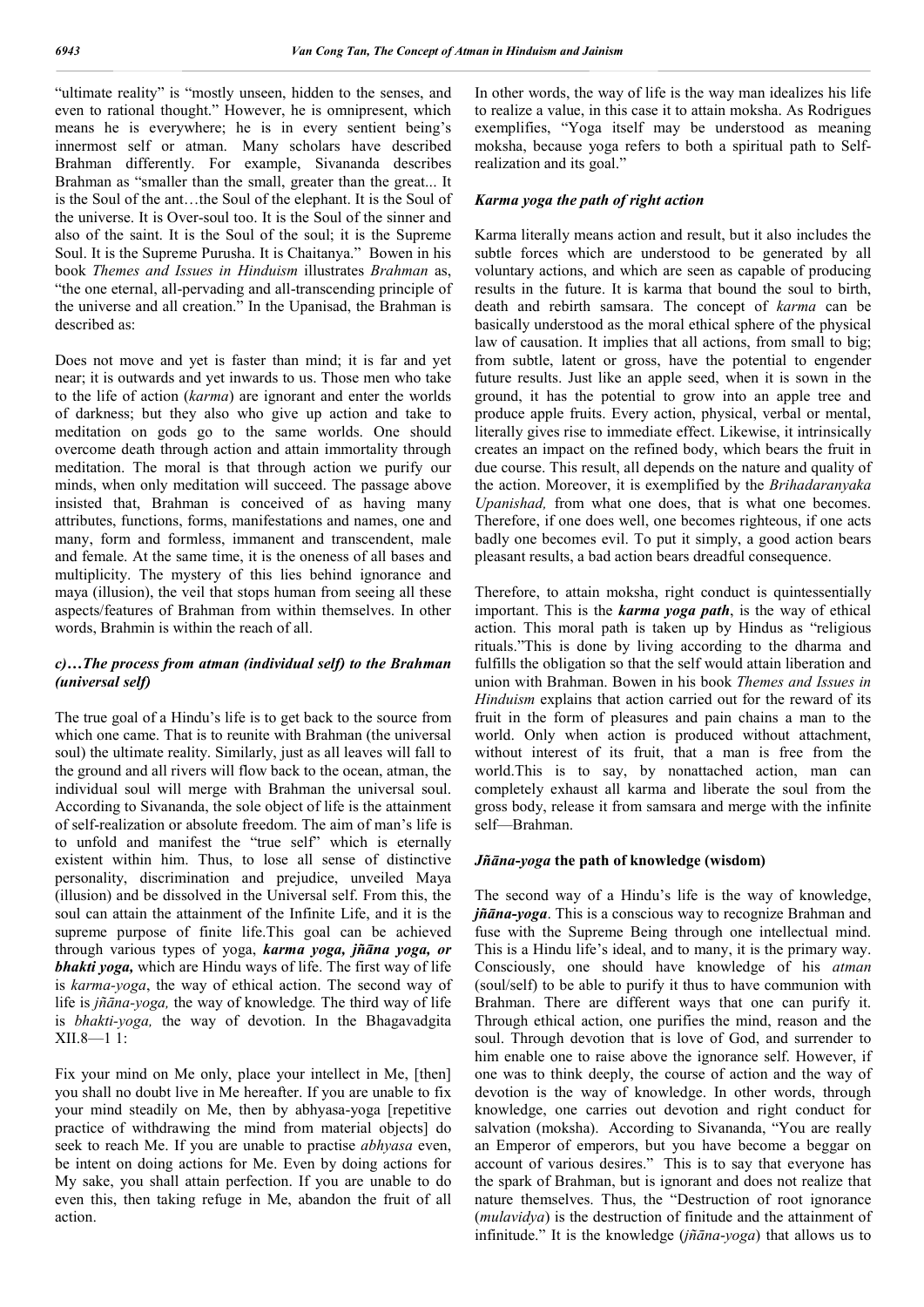"ultimate reality" is "mostly unseen, hidden to the senses, and even to rational thought." However, he is omnipresent, which means he is everywhere; he is in every sentient being's innermost self or atman. Many scholars have described Brahman differently. For example, Sivananda describes Brahman as "smaller than the small, greater than the great... It is the Soul of the ant…the Soul of the elephant. It is the Soul of the universe. It is Over-soul too. It is the Soul of the sinner and also of the saint. It is the Soul of the soul; it is the Supreme Soul. It is the Supreme Purusha. It is Chaitanya." Bowen in his book *Themes and Issues in Hinduism* illustrates *Brahman* as, "the one eternal, all-pervading and all-transcending principle of the universe and all creation." In the Upanisad, the Brahman is described as:

Does not move and yet is faster than mind; it is far and yet near; it is outwards and yet inwards to us. Those men who take to the life of action (*karma*) are ignorant and enter the worlds of darkness; but they also who give up action and take to meditation on gods go to the same worlds. One should overcome death through action and attain immortality through meditation. The moral is that through action we purify our minds, when only meditation will succeed. The passage above insisted that, Brahman is conceived of as having many attributes, functions, forms, manifestations and names, one and many, form and formless, immanent and transcendent, male and female. At the same time, it is the oneness of all bases and multiplicity. The mystery of this lies behind ignorance and maya (illusion), the veil that stops human from seeing all these aspects/features of Brahman from within themselves. In other words, Brahmin is within the reach of all.

### *c)…The process from atman (individual self) to the Brahman (universal self)*

The true goal of a Hindu's life is to get back to the source from which one came. That is to reunite with Brahman (the universal soul) the ultimate reality. Similarly, just as all leaves will fall to the ground and all rivers will flow back to the ocean, atman, the individual soul will merge with Brahman the universal soul. According to Sivananda, the sole object of life is the attainment of self-realization or absolute freedom. The aim of man's life is to unfold and manifest the "true self" which is eternally existent within him. Thus, to lose all sense of distinctive personality, discrimination and prejudice, unveiled Maya (illusion) and be dissolved in the Universal self. From this, the soul can attain the attainment of the Infinite Life, and it is the supreme purpose of finite life.This goal can be achieved through various types of yoga, *karma yoga, jñāna yoga, or bhakti yoga,* which are Hindu ways of life. The first way of life is *karma-yoga*, the way of ethical action. The second way of life is *jñāna-yoga,* the way of knowledge*.* The third way of life is *bhakti-yoga,* the way of devotion. In the Bhagavadgita XII.8—1 1:

Fix your mind on Me only, place your intellect in Me, [then] you shall no doubt live in Me hereafter. If you are unable to fix your mind steadily on Me, then by abhyasa-yoga [repetitive practice of withdrawing the mind from material objects] do seek to reach Me. If you are unable to practise *abhyasa* even, be intent on doing actions for Me. Even by doing actions for My sake, you shall attain perfection. If you are unable to do even this, then taking refuge in Me, abandon the fruit of all action.

In other words, the way of life is the way man idealizes his life to realize a value, in this case it to attain moksha. As Rodrigues exemplifies, "Yoga itself may be understood as meaning moksha, because yoga refers to both a spiritual path to Selfrealization and its goal."

### *Karma yoga the path of right action*

Karma literally means action and result, but it also includes the subtle forces which are understood to be generated by all voluntary actions, and which are seen as capable of producing results in the future. It is karma that bound the soul to birth, death and rebirth samsara. The concept of *karma* can be basically understood as the moral ethical sphere of the physical law of causation. It implies that all actions, from small to big; from subtle, latent or gross, have the potential to engender future results. Just like an apple seed, when it is sown in the ground, it has the potential to grow into an apple tree and produce apple fruits. Every action, physical, verbal or mental, literally gives rise to immediate effect. Likewise, it intrinsically creates an impact on the refined body, which bears the fruit in due course. This result, all depends on the nature and quality of the action. Moreover, it is exemplified by the *Brihadaranyaka Upanishad,* from what one does, that is what one becomes. Therefore, if one does well, one becomes righteous, if one acts badly one becomes evil. To put it simply, a good action bears pleasant results, a bad action bears dreadful consequence.

Therefore, to attain moksha, right conduct is quintessentially important. This is the *karma yoga path*, is the way of ethical action. This moral path is taken up by Hindus as "religious rituals."This is done by living according to the dharma and fulfills the obligation so that the self would attain liberation and union with Brahman. Bowen in his book *Themes and Issues in Hinduism* explains that action carried out for the reward of its fruit in the form of pleasures and pain chains a man to the world. Only when action is produced without attachment, without interest of its fruit, that a man is free from the world.This is to say, by nonattached action, man can completely exhaust all karma and liberate the soul from the gross body, release it from samsara and merge with the infinite self—Brahman.

#### *Jñāna***-***yoga* **the path of knowledge (wisdom)**

The second way of a Hindu's life is the way of knowledge, *jñāna-yoga*. This is a conscious way to recognize Brahman and fuse with the Supreme Being through one intellectual mind. This is a Hindu life's ideal, and to many, it is the primary way. Consciously, one should have knowledge of his *atman* (soul/self) to be able to purify it thus to have communion with Brahman. There are different ways that one can purify it. Through ethical action, one purifies the mind, reason and the soul. Through devotion that is love of God, and surrender to him enable one to raise above the ignorance self. However, if one was to think deeply, the course of action and the way of devotion is the way of knowledge. In other words, through knowledge, one carries out devotion and right conduct for salvation (moksha). According to Sivananda, "You are really an Emperor of emperors, but you have become a beggar on account of various desires." This is to say that everyone has the spark of Brahman, but is ignorant and does not realize that nature themselves. Thus, the "Destruction of root ignorance (*mulavidya*) is the destruction of finitude and the attainment of infinitude." It is the knowledge (*jñāna*-*yoga*) that allows us to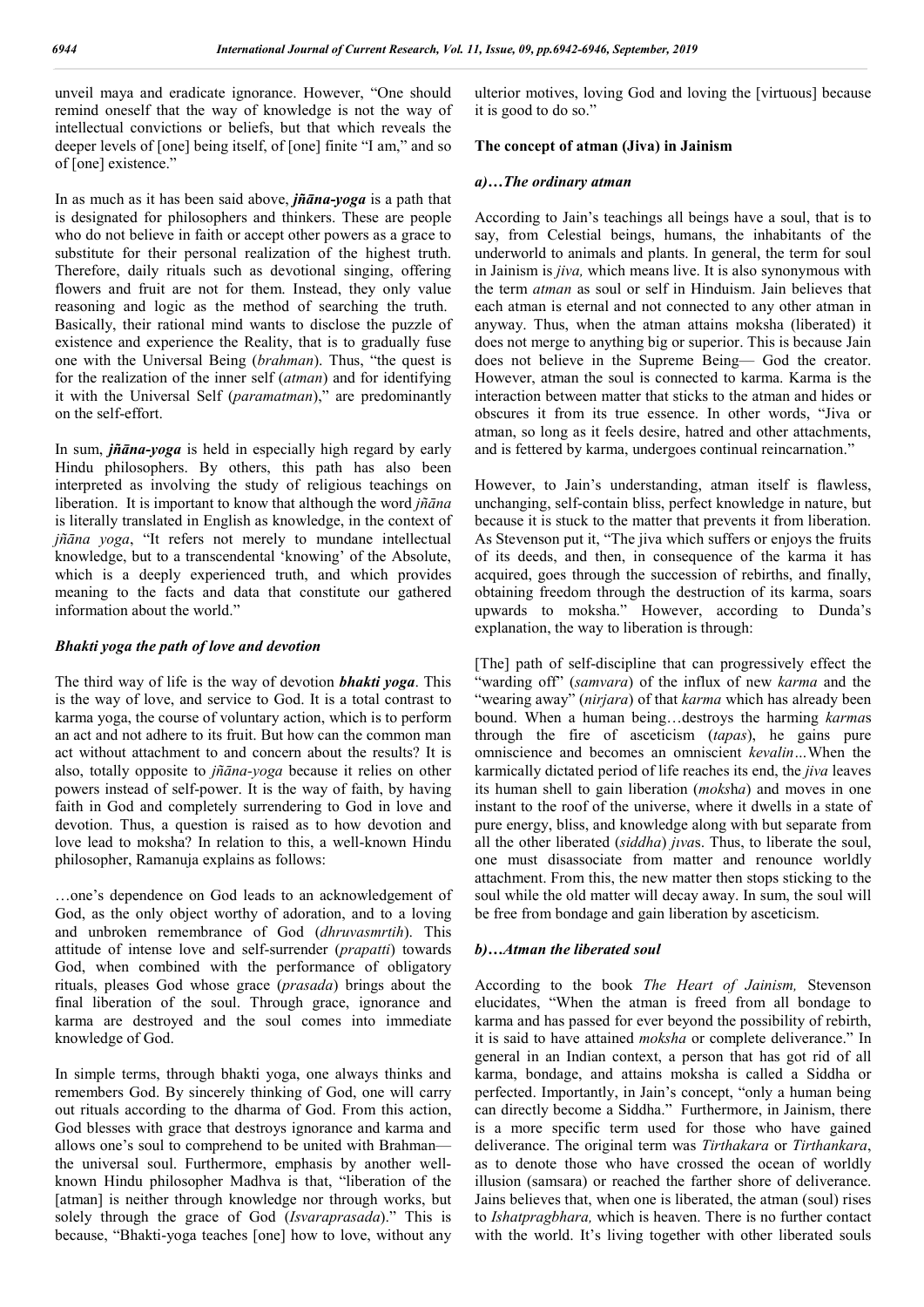unveil maya and eradicate ignorance. However, "One should remind oneself that the way of knowledge is not the way of intellectual convictions or beliefs, but that which reveals the deeper levels of [one] being itself, of [one] finite "I am," and so of [one] existence."

In as much as it has been said above, *jñāna-yoga* is a path that is designated for philosophers and thinkers. These are people who do not believe in faith or accept other powers as a grace to substitute for their personal realization of the highest truth. Therefore, daily rituals such as devotional singing, offering flowers and fruit are not for them. Instead, they only value reasoning and logic as the method of searching the truth. Basically, their rational mind wants to disclose the puzzle of existence and experience the Reality, that is to gradually fuse one with the Universal Being (*brahman*). Thus, "the quest is for the realization of the inner self (*atman*) and for identifying it with the Universal Self (*paramatman*)," are predominantly on the self-effort.

In sum, *jñāna-yoga* is held in especially high regard by early Hindu philosophers. By others, this path has also been interpreted as involving the study of religious teachings on liberation. It is important to know that although the word *jñāna* is literally translated in English as knowledge, in the context of *jñāna yoga*, "It refers not merely to mundane intellectual knowledge, but to a transcendental 'knowing' of the Absolute, which is a deeply experienced truth, and which provides meaning to the facts and data that constitute our gathered information about the world."

#### *Bhakti yoga the path of love and devotion*

The third way of life is the way of devotion *bhakti yoga*. This is the way of love, and service to God. It is a total contrast to karma yoga, the course of voluntary action, which is to perform an act and not adhere to its fruit. But how can the common man act without attachment to and concern about the results? It is also, totally opposite to *jñāna-yoga* because it relies on other powers instead of self-power. It is the way of faith, by having faith in God and completely surrendering to God in love and devotion. Thus, a question is raised as to how devotion and love lead to moksha? In relation to this, a well-known Hindu philosopher, Ramanuja explains as follows:

…one's dependence on God leads to an acknowledgement of God, as the only object worthy of adoration, and to a loving and unbroken remembrance of God (*dhruvasmrtih*). This attitude of intense love and self-surrender (*prapatti*) towards God, when combined with the performance of obligatory rituals, pleases God whose grace (*prasada*) brings about the final liberation of the soul. Through grace, ignorance and karma are destroyed and the soul comes into immediate knowledge of God.

In simple terms, through bhakti yoga, one always thinks and remembers God. By sincerely thinking of God, one will carry out rituals according to the dharma of God. From this action, God blesses with grace that destroys ignorance and karma and allows one's soul to comprehend to be united with Brahman the universal soul. Furthermore, emphasis by another wellknown Hindu philosopher Madhva is that, "liberation of the [atman] is neither through knowledge nor through works, but solely through the grace of God (*Isvaraprasada*)." This is because, "Bhakti-yoga teaches [one] how to love, without any

ulterior motives, loving God and loving the [virtuous] because it is good to do so."

#### **The concept of atman (Jiva) in Jainism**

#### *a)…The ordinary atman*

According to Jain's teachings all beings have a soul, that is to say, from Celestial beings, humans, the inhabitants of the underworld to animals and plants. In general, the term for soul in Jainism is *jiva,* which means live. It is also synonymous with the term *atman* as soul or self in Hinduism. Jain believes that each atman is eternal and not connected to any other atman in anyway. Thus, when the atman attains moksha (liberated) it does not merge to anything big or superior. This is because Jain does not believe in the Supreme Being— God the creator. However, atman the soul is connected to karma. Karma is the interaction between matter that sticks to the atman and hides or obscures it from its true essence. In other words, "Jiva or atman, so long as it feels desire, hatred and other attachments, and is fettered by karma, undergoes continual reincarnation."

However, to Jain's understanding, atman itself is flawless, unchanging, self-contain bliss, perfect knowledge in nature, but because it is stuck to the matter that prevents it from liberation. As Stevenson put it, "The jiva which suffers or enjoys the fruits of its deeds, and then, in consequence of the karma it has acquired, goes through the succession of rebirths, and finally, obtaining freedom through the destruction of its karma, soars upwards to moksha." However, according to Dunda's explanation, the way to liberation is through:

[The] path of self-discipline that can progressively effect the "warding off" (*samvara*) of the influx of new *karma* and the "wearing away" (*nirjara*) of that *karma* which has already been bound. When a human being…destroys the harming *karma*s through the fire of asceticism (*tapas*), he gains pure omniscience and becomes an omniscient *kevalin…*When the karmically dictated period of life reaches its end, the *jiva* leaves its human shell to gain liberation (*moks*h*a*) and moves in one instant to the roof of the universe, where it dwells in a state of pure energy, bliss, and knowledge along with but separate from all the other liberated (*siddha*) *jıva*s. Thus, to liberate the soul, one must disassociate from matter and renounce worldly attachment. From this, the new matter then stops sticking to the soul while the old matter will decay away. In sum, the soul will be free from bondage and gain liberation by asceticism.

#### *b)…Atman the liberated soul*

According to the book *The Heart of Jainism,* Stevenson elucidates, "When the atman is freed from all bondage to karma and has passed for ever beyond the possibility of rebirth, it is said to have attained *moksha* or complete deliverance." In general in an Indian context, a person that has got rid of all karma, bondage, and attains moksha is called a Siddha or perfected. Importantly, in Jain's concept, "only a human being can directly become a Siddha." Furthermore, in Jainism, there is a more specific term used for those who have gained deliverance. The original term was *Tirthakara* or *Tirthankara*, as to denote those who have crossed the ocean of worldly illusion (samsara) or reached the farther shore of deliverance. Jains believes that, when one is liberated, the atman (soul) rises to *Ishatpragbhara,* which is heaven. There is no further contact with the world. It's living together with other liberated souls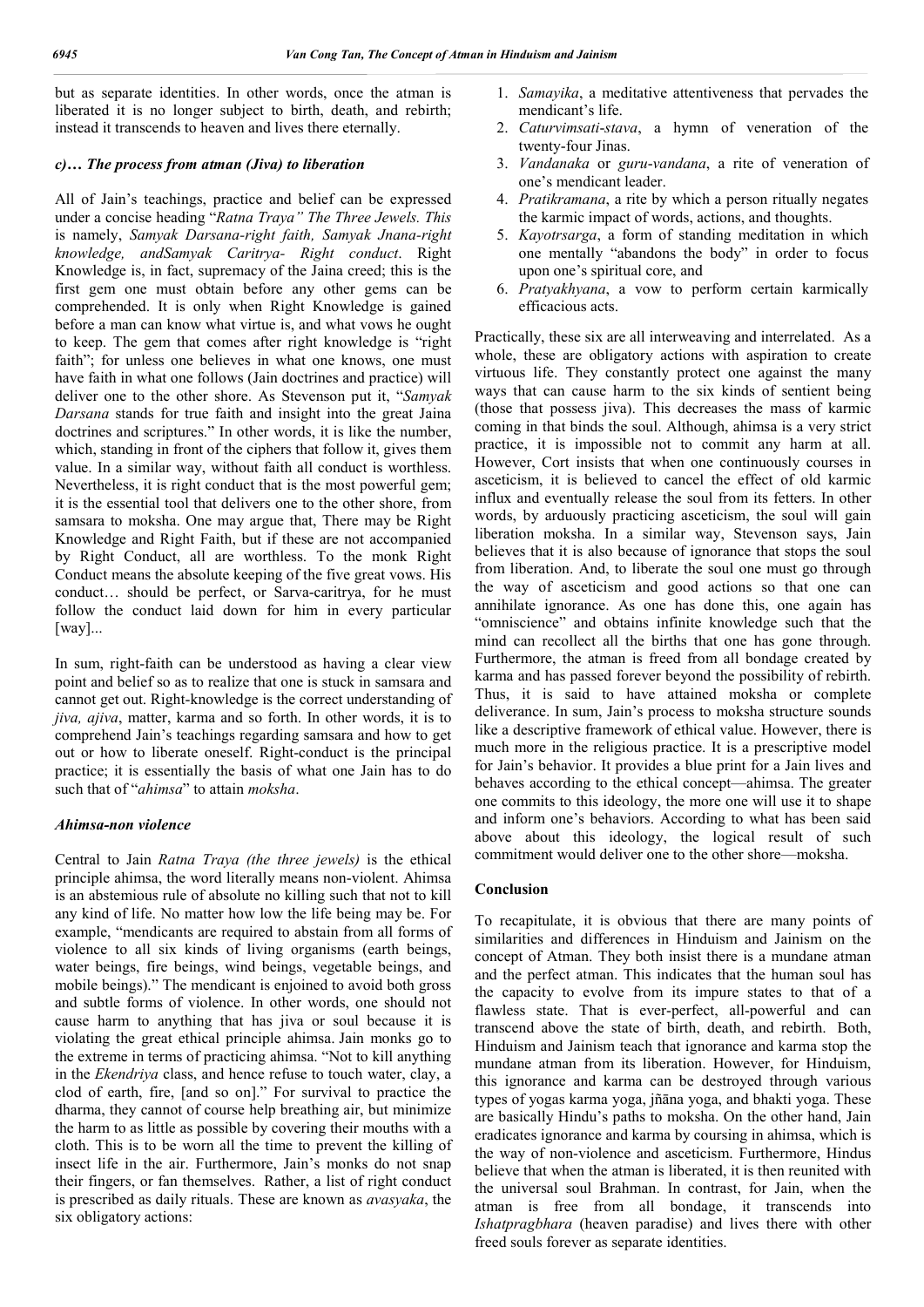but as separate identities. In other words, once the atman is liberated it is no longer subject to birth, death, and rebirth; instead it transcends to heaven and lives there eternally.

### *c)… The process from atman (Jiva) to liberation*

All of Jain's teachings, practice and belief can be expressed under a concise heading "*Ratna Traya" The Three Jewels. This*  is namely, *Samyak Darsana-right faith, Samyak Jnana-right knowledge, andSamyak Caritrya- Right conduct*. Right Knowledge is, in fact, supremacy of the Jaina creed; this is the first gem one must obtain before any other gems can be comprehended. It is only when Right Knowledge is gained before a man can know what virtue is, and what vows he ought to keep. The gem that comes after right knowledge is "right faith"; for unless one believes in what one knows, one must have faith in what one follows (Jain doctrines and practice) will deliver one to the other shore. As Stevenson put it, "*Samyak Darsana* stands for true faith and insight into the great Jaina doctrines and scriptures." In other words, it is like the number, which, standing in front of the ciphers that follow it, gives them value. In a similar way, without faith all conduct is worthless. Nevertheless, it is right conduct that is the most powerful gem; it is the essential tool that delivers one to the other shore, from samsara to moksha. One may argue that, There may be Right Knowledge and Right Faith, but if these are not accompanied by Right Conduct, all are worthless. To the monk Right Conduct means the absolute keeping of the five great vows. His conduct… should be perfect, or Sarva-caritrya, for he must follow the conduct laid down for him in every particular [way]...

In sum, right-faith can be understood as having a clear view point and belief so as to realize that one is stuck in samsara and cannot get out. Right-knowledge is the correct understanding of *jiva, ajiva*, matter, karma and so forth. In other words, it is to comprehend Jain's teachings regarding samsara and how to get out or how to liberate oneself. Right-conduct is the principal practice; it is essentially the basis of what one Jain has to do such that of "*ahimsa*" to attain *moksha*.

### *Ahimsa-non violence*

Central to Jain *Ratna Traya (the three jewels)* is the ethical principle ahimsa, the word literally means non-violent. Ahimsa is an abstemious rule of absolute no killing such that not to kill any kind of life. No matter how low the life being may be. For example, "mendicants are required to abstain from all forms of violence to all six kinds of living organisms (earth beings, water beings, fire beings, wind beings, vegetable beings, and mobile beings)." The mendicant is enjoined to avoid both gross and subtle forms of violence. In other words, one should not cause harm to anything that has jiva or soul because it is violating the great ethical principle ahimsa. Jain monks go to the extreme in terms of practicing ahimsa. "Not to kill anything in the *Ekendriya* class, and hence refuse to touch water, clay, a clod of earth, fire, [and so on]." For survival to practice the dharma, they cannot of course help breathing air, but minimize the harm to as little as possible by covering their mouths with a cloth. This is to be worn all the time to prevent the killing of insect life in the air. Furthermore, Jain's monks do not snap their fingers, or fan themselves. Rather, a list of right conduct is prescribed as daily rituals. These are known as *avasyaka*, the six obligatory actions:

- 1. *Samayika*, a meditative attentiveness that pervades the mendicant's life.
- 2. *Caturvimsati*-*stava*, a hymn of veneration of the twenty-four Jinas.
- 3. *Vandanaka* or *guru*-*vandana*, a rite of veneration of one's mendicant leader.
- 4. *Pratikramana*, a rite by which a person ritually negates the karmic impact of words, actions, and thoughts.
- 5. *Kayotrsarga*, a form of standing meditation in which one mentally "abandons the body" in order to focus upon one's spiritual core, and
- 6. *Pratyakhyana*, a vow to perform certain karmically efficacious acts.

Practically, these six are all interweaving and interrelated. As a whole, these are obligatory actions with aspiration to create virtuous life. They constantly protect one against the many ways that can cause harm to the six kinds of sentient being (those that possess jiva). This decreases the mass of karmic coming in that binds the soul. Although, ahimsa is a very strict practice, it is impossible not to commit any harm at all. However, Cort insists that when one continuously courses in asceticism, it is believed to cancel the effect of old karmic influx and eventually release the soul from its fetters. In other words, by arduously practicing asceticism, the soul will gain liberation moksha. In a similar way, Stevenson says, Jain believes that it is also because of ignorance that stops the soul from liberation. And, to liberate the soul one must go through the way of asceticism and good actions so that one can annihilate ignorance. As one has done this, one again has "omniscience" and obtains infinite knowledge such that the mind can recollect all the births that one has gone through. Furthermore, the atman is freed from all bondage created by karma and has passed forever beyond the possibility of rebirth. Thus, it is said to have attained moksha or complete deliverance. In sum, Jain's process to moksha structure sounds like a descriptive framework of ethical value. However, there is much more in the religious practice. It is a prescriptive model for Jain's behavior. It provides a blue print for a Jain lives and behaves according to the ethical concept—ahimsa. The greater one commits to this ideology, the more one will use it to shape and inform one's behaviors. According to what has been said above about this ideology, the logical result of such commitment would deliver one to the other shore—moksha.

### **Conclusion**

To recapitulate, it is obvious that there are many points of similarities and differences in Hinduism and Jainism on the concept of Atman. They both insist there is a mundane atman and the perfect atman. This indicates that the human soul has the capacity to evolve from its impure states to that of a flawless state. That is ever-perfect, all-powerful and can transcend above the state of birth, death, and rebirth. Both, Hinduism and Jainism teach that ignorance and karma stop the mundane atman from its liberation. However, for Hinduism, this ignorance and karma can be destroyed through various types of yogas karma yoga, jñāna yoga, and bhakti yoga. These are basically Hindu's paths to moksha. On the other hand, Jain eradicates ignorance and karma by coursing in ahimsa, which is the way of non-violence and asceticism. Furthermore, Hindus believe that when the atman is liberated, it is then reunited with the universal soul Brahman. In contrast, for Jain, when the atman is free from all bondage, it transcends into *Ishatpragbhara* (heaven paradise) and lives there with other freed souls forever as separate identities.